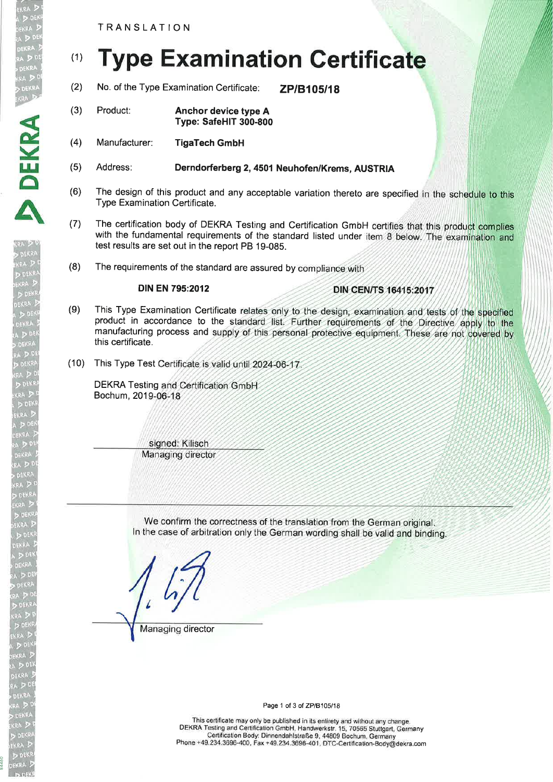TRANSLATION

DEKRA

**DEKR** 

DEKRA .RA >

> DEK DEKRA

# (1) Type Examination Certificate

- (2) No. of the Type Examination Certificate: **ZP/B105/18**
- (3) Product: Anchor device type A Type: SafeHlT 300-800
- (4) Manufacturer: TigaTech GmbH
- (5) Address: Derndorferberg2,4SOl Neuhofen/Krems, AUSTRIA
- (6) The design of this product and any acceptable variation thereto are specified in the schedule to this Type Examination Certificate.
- (7) The certification body of DEKRA Testing and Certification GmbH certifies that this product complies with the fundamental requirements of the standard listed under item 8 below. The examination and test results are set out in the report PB 19-085.
- (8) The requirements of the standard are assured by

## DIN EN 795:2012

## **DIN CEN/TS 16415:2017**

- (9) This Type Examination Certificate relates only to the design, examination and tests of the specified product in accordance to the standard list. Further requirements of the Directive apply to the manufacturing process and supply of this personal protective equipment. These are not covered by this certificate.
- (10) This Type Test Certificate is valid until 2024-06-17

DEKRA Testing and Certification GmbH Bochum, 201

> signed: Kilisch Managing director

We confirm the correctness of the translation from the German original. In the case of arbitration only the German wording shall be valid and binding.

Managing director

Page 1 of 3 of ZP/B105/18

This certificate may only be published in its entirety and without any change. DEKM Testing and Certification GmbH, Handwerkstr. 1S, 70565 Stuttgart, Germany Certification Body: Dinnendahlstraße g, 44809 Bochum, Germany Phone +49.234.3696-400, Fax +49.234.3696-401, DTc-Certification-Body@dekra.com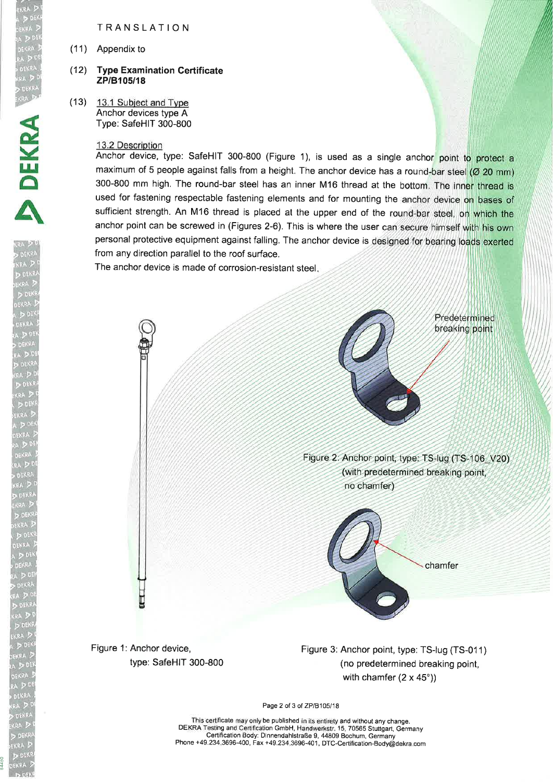TRANSLATION

(11) Appendix to

#### (12) **Type Examination Certificate** ZP/B105/18

(13) 13.1 Subiect and Tvpe Anchor devices type A Type: SafeHlT 300-800

### 13.2 Description

Anchor device, type: SafeHlT 300-800 (Figure 1), is used as a single anch or: maximum of 5 people against falls from a height. The anchor device has a round-bar steel  $(Ø 20$  mm) 300-800 mm high. The round-bar steel has an inner M16 thread at the bottom. The inner thread is used for fastening respectable fastening elements and for mounting the anchor device on bases of sufficient strength. An M16 thread is placed at the upper end of the round-bar steel, on which the anchor point can be screwed in (Figures 2-6). This is where the user can secure himself with his own personal protective equipment against falling. The anchor device is designed for bearing loads exerted from any direction parallel to the roof surface.

The anchor device is made of corrosion-resistant steel



Page 2 of 3 of ZP/B105/18

This certificate may only be published in its entirety and without any change. DEKRA Testing and Certification GmbH, Handwerkstr. 15, 70565 Stuttgart, Germany Certification Body: Dinnendahlstraße g, 44809 Bochum, Germany Phone +49.234.3696-400, Fax +49.234.3696-401, DTC-Certiftcation-Body@dekra.com